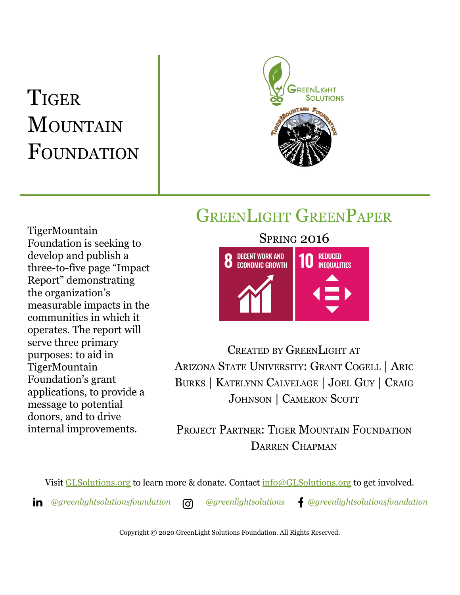# **TIGER** MOUNTAIN FOUNDATION



# GREENLIGHT GREENPAPER

TigerMountain Foundation is seeking to develop and publish a three-to-five page "Impact Report" demonstrating the organization's measurable impacts in the communities in which it operates. The report will serve three primary purposes: to aid in TigerMountain Foundation's grant applications, to provide a message to potential donors, and to drive internal improvements.



CREATED BY GREENLIGHT AT ARIZONA STATE UNIVERSITY: GRANT COGELL | ARIC BURKS | KATELYNN CALVELAGE | JOEL GUY | CRAIG JOHNSON | CAMERON SCOTT

PROJECT PARTNER: TIGER MOUNTAIN FOUNDATION DARREN CHAPMAN

Visit [GLSolutions.org](https://www.glsolutions.org/) to learn more & donate. Contact  $\frac{info@GLSolutions.org}{info@GLSolutions.org}$  to get involved.

*[@greenlightsolutionsfoundation](https://www.linkedin.com/company/10571635) [@greenlightsolutions](https://www.instagram.com/greenlightsolutions/) [@greenlightsolutionsfoundation](https://www.facebook.com/GreenLightSolutionsFoundation/)*

Copyright © 2020 GreenLight Solutions Foundation. All Rights Reserved.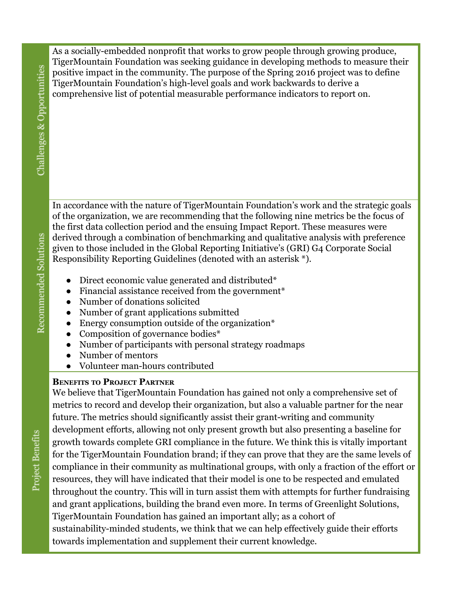As a socially-embedded nonprofit that works to grow people through growing produce, TigerMountain Foundation was seeking guidance in developing methods to measure their positive impact in the community. The purpose of the Spring 2016 project was to define TigerMountain Foundation's high-level goals and work backwards to derive a comprehensive list of potential measurable performance indicators to report on.

In accordance with the nature of TigerMountain Foundation's work and the strategic goals of the organization, we are recommending that the following nine metrics be the focus of the first data collection period and the ensuing Impact Report. These measures were derived through a combination of benchmarking and qualitative analysis with preference given to those included in the Global Reporting Initiative's (GRI) G4 Corporate Social Responsibility Reporting Guidelines (denoted with an asterisk \*).

- Direct economic value generated and distributed\*
- Financial assistance received from the government<sup>\*</sup>
- Number of donations solicited
- Number of grant applications submitted
- Energy consumption outside of the organization $*$
- Composition of governance bodies\*
- Number of participants with personal strategy roadmaps
- Number of mentors
- Volunteer man-hours contributed

## **BENEFITS TO PROJECT PARTNER**

We believe that TigerMountain Foundation has gained not only a comprehensive set of metrics to record and develop their organization, but also a valuable partner for the near future. The metrics should significantly assist their grant-writing and community development efforts, allowing not only present growth but also presenting a baseline for growth towards complete GRI compliance in the future. We think this is vitally important for the TigerMountain Foundation brand; if they can prove that they are the same levels of compliance in their community as multinational groups, with only a fraction of the effort or resources, they will have indicated that their model is one to be respected and emulated throughout the country. This will in turn assist them with attempts for further fundraising and grant applications, building the brand even more. In terms of Greenlight Solutions, TigerMountain Foundation has gained an important ally; as a cohort of sustainability-minded students, we think that we can help effectively guide their efforts towards implementation and supplement their current knowledge.